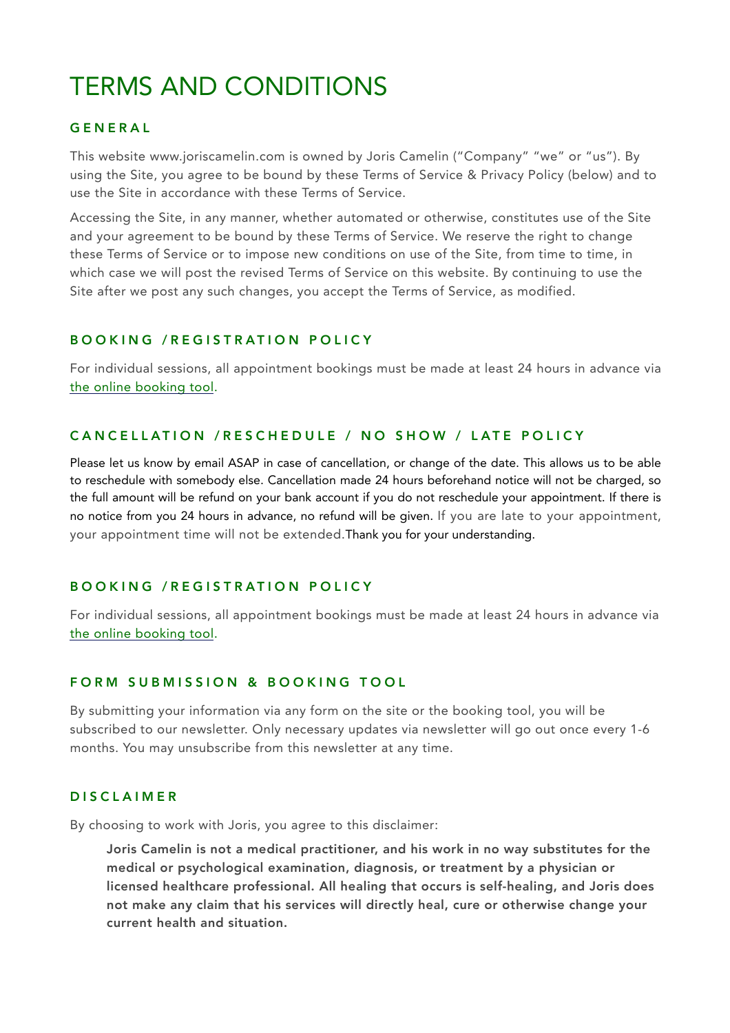# TERMS AND CONDITIONS

# GENERAL

This website www.joriscamelin.com is owned by Joris Camelin ("Company" "we" or "us"). By using the Site, you agree to be bound by these Terms of Service & Privacy Policy (below) and to use the Site in accordance with these Terms of Service.

Accessing the Site, in any manner, whether automated or otherwise, constitutes use of the Site and your agreement to be bound by these Terms of Service. We reserve the right to change these Terms of Service or to impose new conditions on use of the Site, from time to time, in which case we will post the revised Terms of Service on this website. By continuing to use the Site after we post any such changes, you accept the Terms of Service, as modified.

#### BOOKING /REGISTRATION POLICY

For individual sessions, all appointment bookings must be made at least 24 hours in advance via [the online booking tool](https://joriscamelin.com/contact/).

## CANCELLATION /RESCHEDULE / NO SHOW / LATE POLICY

Please let us know by email ASAP in case of cancellation, or change of the date. This allows us to be able to reschedule with somebody else. Cancellation made 24 hours beforehand notice will not be charged, so the full amount will be refund on your bank account if you do not reschedule your appointment. If there is no notice from you 24 hours in advance, no refund will be given. If you are late to your appointment, your appointment time will not be extended.Thank you for your understanding.

#### BOOKING /REGISTRATION POLICY

For individual sessions, all appointment bookings must be made at least 24 hours in advance via [the online booking tool](https://joriscamelin.com/contact/).

#### FORM SUBMISSION & BOOKING TOOL

By submitting your information via any form on the site or the booking tool, you will be subscribed to our newsletter. Only necessary updates via newsletter will go out once every 1-6 months. You may unsubscribe from this newsletter at any time.

#### DISCLAIMER

By choosing to work with Joris, you agree to this disclaimer:

Joris Camelin is not a medical practitioner, and his work in no way substitutes for the medical or psychological examination, diagnosis, or treatment by a physician or licensed healthcare professional. All healing that occurs is self-healing, and Joris does not make any claim that his services will directly heal, cure or otherwise change your current health and situation.